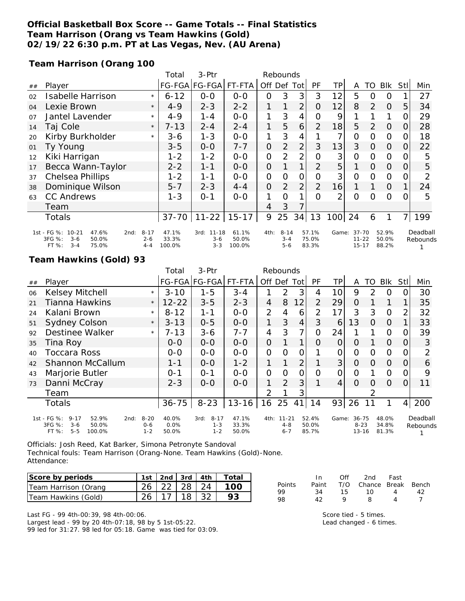## **Official Basketball Box Score -- Game Totals -- Final Statistics Team Harrison (Orang vs Team Hawkins (Gold) 02/19/22 6:30 p.m. PT at Las Vegas, Nev. (AU Arena)**

**Team Harrison (Orang 100**

|    |                                                                                               |                                | Total                    | 3-Ptr                                   | Rebounds                 |                |                                |                |                         |                |                                     |          |                         |          |                      |
|----|-----------------------------------------------------------------------------------------------|--------------------------------|--------------------------|-----------------------------------------|--------------------------|----------------|--------------------------------|----------------|-------------------------|----------------|-------------------------------------|----------|-------------------------|----------|----------------------|
| ## | Player                                                                                        |                                |                          | FG-FGA FG-FGA                           | FT-FTA                   |                | Off Def Tot                    |                | <b>PF</b>               | ΤP             | A                                   | TO       | Blk                     | Stll     | Min                  |
| 02 | <b>Isabelle Harrison</b>                                                                      | $\star$                        | $6 - 12$                 | $0-0$                                   | $0 - 0$                  | 0              | 3                              | 3              | 3                       | 12             | 5                                   | 0        | $\Omega$                |          | 27                   |
| 04 | Lexie Brown                                                                                   | $\star$                        | $4 - 9$                  | $2 - 3$                                 | $2 - 2$                  | 1              | 1                              | $\overline{2}$ | O                       | 12             | 8                                   | 2        | $\Omega$                | 5        | 34                   |
| 07 | Jantel Lavender                                                                               | $\star$                        | $4 - 9$                  | 1-4                                     | $0 - 0$                  | 1              | 3                              | $\overline{4}$ | $\Omega$                | 9              |                                     |          |                         | $\Omega$ | 29                   |
| 14 | Taj Cole                                                                                      | $\star$                        | $7 - 13$                 | $2 - 4$                                 | $2 - 4$                  | 1.             | 5                              | 6              | 2                       | 18             | 5                                   | 2        | $\Omega$                | 0        | 28                   |
| 20 | Kirby Burkholder                                                                              | $\star$                        | 3-6                      | $1 - 3$                                 | $O-O$                    | 1              | 3                              | 4              |                         | 7              | 0                                   | $\Omega$ | $\overline{O}$          | O        | 18                   |
| 01 | Ty Young                                                                                      |                                | $3 - 5$                  | $0 - 0$                                 | $7 - 7$                  | $\overline{O}$ | 2                              | $\overline{2}$ | 3                       | 13             | 3                                   | $\Omega$ | $\overline{O}$          | 0        | 22                   |
| 12 | Kiki Harrigan                                                                                 |                                | 1-2                      | $1 - 2$                                 | $0 - 0$                  | 0              | 2                              | $\overline{2}$ | Ο                       | 3              | 0                                   | $\Omega$ | $\Omega$                |          | 5                    |
| 17 | Becca Wann-Taylor                                                                             |                                | $2 - 2$                  | $1 - 1$                                 | $0 - 0$                  | $\overline{O}$ |                                | 1 <sub>1</sub> | $\overline{2}$          | 5              | 1                                   | $\Omega$ | $\overline{O}$          | $\Omega$ | 5                    |
| 37 | <b>Chelsea Phillips</b>                                                                       |                                | $1 - 2$                  | 1-1                                     | $0 - 0$                  | $\overline{O}$ | O                              | 0              | O                       | 3              | $\overline{O}$                      | $\Omega$ | $\mathbf{O}$            | O        | 2                    |
| 38 | Dominique Wilson                                                                              |                                | $5 - 7$                  | $2 - 3$                                 | $4 - 4$                  | $\overline{O}$ | 2                              | $\overline{2}$ | 2                       | 16             | 1                                   |          | $\Omega$                |          | 24                   |
| 63 | <b>CC Andrews</b>                                                                             |                                | $1 - 3$                  | $O - 1$                                 | $0 - 0$                  | 1              | $\Omega$                       | 1              | 0                       | $\overline{2}$ | 0                                   | $\Omega$ | $\Omega$                |          | 5                    |
|    | Team                                                                                          |                                |                          |                                         |                          | 4              | 3                              | 7              |                         |                |                                     |          |                         |          |                      |
|    | <b>Totals</b>                                                                                 |                                | $37 - 70$                | $11 - 22$                               | $15 - 17$                | 9              | 25                             | 34             | 13                      | 100            | 24                                  | 6        |                         | 7        | 199                  |
|    | 1st - FG %: 10-21<br>47.6%<br>2nd:<br>3FG %:<br>$3 - 6$<br>50.0%<br>FT %:<br>$3 - 4$<br>75.0% | $8 - 17$<br>$2 - 6$<br>$4 - 4$ | 47.1%<br>33.3%<br>100.0% | $11 - 18$<br>3rd:<br>$3 - 6$<br>$3 - 3$ | 61.1%<br>50.0%<br>100.0% | 4th:           | $8 - 14$<br>$3 - 4$<br>$5 - 6$ |                | 57.1%<br>75.0%<br>83.3% | Game:          | $37 - 70$<br>$11 - 22$<br>$15 - 17$ |          | 52.9%<br>50.0%<br>88.2% |          | Deadball<br>Rebounds |

### **Team Hawkins (Gold) 93**

|    |                                                                                                    |                                | Total                  | $3-Ptr$                                | Rebounds                |                |                                 |     |                         |                 |                                |    |                         |                |                      |
|----|----------------------------------------------------------------------------------------------------|--------------------------------|------------------------|----------------------------------------|-------------------------|----------------|---------------------------------|-----|-------------------------|-----------------|--------------------------------|----|-------------------------|----------------|----------------------|
| ## | Player                                                                                             |                                |                        | FG-FGA FG-FGA                          | FT-FTA                  | Off Def        |                                 | Tot | <b>PF</b>               | TP.             | A                              | TO | <b>Blk</b>              | Stll           | Min                  |
| 06 | Kelsey Mitchell                                                                                    | $\star$                        | $3 - 10$               | $1 - 5$                                | $3 - 4$                 |                | $\mathcal{P}$                   | 3   | 4                       | 10 <sup>1</sup> | 9                              | 2  | $\Omega$                | 0              | 30                   |
| 21 | Tianna Hawkins                                                                                     | $\star$                        | $12 - 22$              | $3 - 5$                                | $2 - 3$                 | 4              | 8                               | 12  | 2                       | 29              | 0                              |    |                         |                | 35                   |
| 24 | Kalani Brown                                                                                       | $\star$                        | $8 - 12$               | $1 - 1$                                | $0-0$                   | $\overline{2}$ | 4                               | 6   | 2                       | 17              | 3                              | 3  | $\Omega$                | $\overline{2}$ | 32                   |
| 51 | <b>Sydney Colson</b>                                                                               | $\star$                        | $3 - 13$               | $0 - 5$                                | $0 - 0$                 | 1              | 3                               | 4   | 3                       | 6               | 13                             | 0  | $\Omega$                |                | 33                   |
| 92 | Destinee Walker                                                                                    | $\star$                        | 7-13                   | $3 - 6$                                | $7 - 7$                 | 4              | 3                               | 7   | O                       | 24              |                                |    | $\Omega$                | 0              | 39                   |
| 35 | Tina Roy                                                                                           |                                | $O-O$                  | $0-0$                                  | $0-0$                   | $\overline{O}$ |                                 | 1   | O                       | 0               | 0                              |    | $\Omega$                | 0              | 3                    |
| 40 | <b>Toccara Ross</b>                                                                                |                                | $O-O$                  | $0 - 0$                                | $0 - 0$                 | 0              | O                               | 0   |                         | 0               | 0                              | O  | $\Omega$                | $\Omega$       | 2                    |
| 42 | Shannon McCallum                                                                                   |                                | $1 - 1$                | $O-O$                                  | $1 - 2$                 | 1              |                                 | 2   |                         | 3               | $\Omega$                       | 0  | 0                       | O              | 6                    |
| 43 | Marjorie Butler                                                                                    |                                | $0 - 1$                | $O - 1$                                | $0-0$                   | $\Omega$       | $\Omega$                        | O   | $\Omega$                | 0               | 0                              |    | O                       | 0              | 9                    |
| 73 | Danni McCray                                                                                       |                                | $2 - 3$                | $0 - 0$                                | $0 - 0$                 | 1.             | 2                               | 3   |                         | 4               | $\Omega$                       | O  | $\Omega$                | O              | 11                   |
|    | Team                                                                                               |                                |                        |                                        |                         | 2              |                                 | 3   |                         |                 |                                |    |                         |                |                      |
|    | Totals                                                                                             |                                | $36 - 75$              | $8 - 23$                               | $13 - 16$               | 16             | 25                              | 41  | 14                      | 93              | 26                             |    | 1                       | 4 <sup>1</sup> | 200                  |
|    | 1st - FG %:<br>$9 - 17$<br>52.9%<br>2nd:<br>3FG %:<br>$3-6$<br>50.0%<br>FT %:<br>$5 - 5$<br>100.0% | $8 - 20$<br>$0 - 6$<br>$1 - 2$ | 40.0%<br>0.0%<br>50.0% | $8 - 17$<br>3rd:<br>$1 - 3$<br>$1 - 2$ | 47.1%<br>33.3%<br>50.0% | 4th:           | $11 - 21$<br>$4 - 8$<br>$6 - 7$ |     | 52.4%<br>50.0%<br>85.7% | Game:           | 36-75<br>$8 - 23$<br>$13 - 16$ |    | 48.0%<br>34.8%<br>81.3% |                | Deadball<br>Rebounds |

Officials: Josh Reed, Kat Barker, Simona Petronyte Sandoval Technical fouls: Team Harrison (Orang-None. Team Hawkins (Gold)-None. Attendance:

| Score by periods     |                     |  | 1st   2nd   3rd   4th   Total |
|----------------------|---------------------|--|-------------------------------|
| Team Harrison (Orang | 26   22   28   24   |  | 100                           |
| Team Hawkins (Gold)  | $26$   17   18   32 |  |                               |

Last FG - 99 4th-00:39, 98 4th-00:06. Largest lead - 99 by 20 4th-07:18, 98 by 5 1st-05:22. 99 led for 31:27. 98 led for 05:18. Game was tied for 03:09.

|        | In.   | Off | 2nd                    | Fast |    |
|--------|-------|-----|------------------------|------|----|
| Points | Paint |     | T/O Chance Break Bench |      |    |
| 99     | 34    | 15  | 1ດ                     |      | 42 |
| 98     | 42    | o   | R                      |      |    |

Score tied - 5 times. Lead changed - 6 times.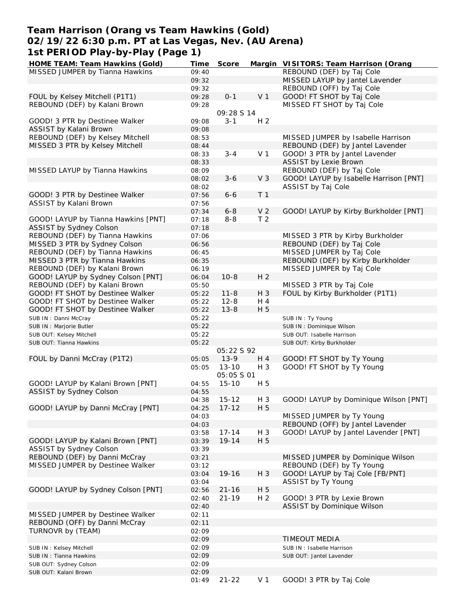### **Team Harrison (Orang vs Team Hawkins (Gold) 02/19/22 6:30 p.m. PT at Las Vegas, Nev. (AU Arena) 1st PERIOD Play-by-Play (Page 1) HOME TEAM: Team Hawkins (Gold) Time Score Margin VISITORS: Team Harrison (Orang**

| HOME TEAM: Team Hawkins (Gold)      | l ime | Score       |                | Margin VISHORS: Team Harrison (Orang   |
|-------------------------------------|-------|-------------|----------------|----------------------------------------|
| MISSED JUMPER by Tianna Hawkins     | 09:40 |             |                | REBOUND (DEF) by Taj Cole              |
|                                     | 09:32 |             |                | MISSED LAYUP by Jantel Lavender        |
|                                     | 09:32 |             |                | REBOUND (OFF) by Taj Cole              |
| FOUL by Kelsey Mitchell (P1T1)      | 09:28 | $0 - 1$     | V <sub>1</sub> | GOOD! FT SHOT by Taj Cole              |
| REBOUND (DEF) by Kalani Brown       | 09:28 |             |                | MISSED FT SHOT by Taj Cole             |
|                                     |       | 09:28 S 14  |                |                                        |
|                                     |       |             |                |                                        |
| GOOD! 3 PTR by Destinee Walker      | 09:08 | $3 - 1$     | H <sub>2</sub> |                                        |
| ASSIST by Kalani Brown              | 09:08 |             |                |                                        |
| REBOUND (DEF) by Kelsey Mitchell    | 08:53 |             |                | MISSED JUMPER by Isabelle Harrison     |
| MISSED 3 PTR by Kelsey Mitchell     | 08:44 |             |                | REBOUND (DEF) by Jantel Lavender       |
|                                     | 08:33 | $3 - 4$     | V <sub>1</sub> | GOOD! 3 PTR by Jantel Lavender         |
|                                     | 08:33 |             |                | <b>ASSIST by Lexie Brown</b>           |
| MISSED LAYUP by Tianna Hawkins      | 08:09 |             |                | REBOUND (DEF) by Taj Cole              |
|                                     | 08:02 | $3 - 6$     | V <sub>3</sub> | GOOD! LAYUP by Isabelle Harrison [PNT] |
|                                     |       |             |                |                                        |
|                                     | 08:02 |             |                | ASSIST by Taj Cole                     |
| GOOD! 3 PTR by Destinee Walker      | 07:56 | $6 - 6$     | T <sub>1</sub> |                                        |
| ASSIST by Kalani Brown              | 07:56 |             |                |                                        |
|                                     | 07:34 | $6 - 8$     | V <sub>2</sub> | GOOD! LAYUP by Kirby Burkholder [PNT]  |
| GOOD! LAYUP by Tianna Hawkins [PNT] | 07:18 | $8 - 8$     | T <sub>2</sub> |                                        |
| ASSIST by Sydney Colson             | 07:18 |             |                |                                        |
| REBOUND (DEF) by Tianna Hawkins     | 07:06 |             |                | MISSED 3 PTR by Kirby Burkholder       |
|                                     |       |             |                | REBOUND (DEF) by Taj Cole              |
| MISSED 3 PTR by Sydney Colson       | 06:56 |             |                |                                        |
| REBOUND (DEF) by Tianna Hawkins     | 06:45 |             |                | MISSED JUMPER by Taj Cole              |
| MISSED 3 PTR by Tianna Hawkins      | 06:35 |             |                | REBOUND (DEF) by Kirby Burkholder      |
| REBOUND (DEF) by Kalani Brown       | 06:19 |             |                | MISSED JUMPER by Taj Cole              |
| GOOD! LAYUP by Sydney Colson [PNT]  | 06:04 | $10 - 8$    | H <sub>2</sub> |                                        |
| REBOUND (DEF) by Kalani Brown       | 05:50 |             |                | MISSED 3 PTR by Taj Cole               |
| GOOD! FT SHOT by Destinee Walker    | 05:22 | $11 - 8$    | H 3            | FOUL by Kirby Burkholder (P1T1)        |
| GOOD! FT SHOT by Destinee Walker    | 05:22 | $12 - 8$    | H 4            |                                        |
|                                     |       |             |                |                                        |
| GOOD! FT SHOT by Destinee Walker    | 05:22 | $13 - 8$    | H 5            |                                        |
| SUB IN: Danni McCray                | 05:22 |             |                | SUB IN: Ty Young                       |
| SUB IN : Marjorie Butler            | 05:22 |             |                | SUB IN: Dominique Wilson               |
| SUB OUT: Kelsey Mitchell            | 05:22 |             |                | SUB OUT: Isabelle Harrison             |
| SUB OUT: Tianna Hawkins             | 05:22 |             |                | SUB OUT: Kirby Burkholder              |
|                                     |       | 05:22 \$ 92 |                |                                        |
| FOUL by Danni McCray (P1T2)         | 05:05 | $13-9$      | H 4            | GOOD! FT SHOT by Ty Young              |
|                                     | 05:05 | $13 - 10$   | H 3            | GOOD! FT SHOT by Ty Young              |
|                                     |       |             |                |                                        |
|                                     |       | 05:05 S 01  |                |                                        |
| GOOD! LAYUP by Kalani Brown [PNT]   | 04:55 | $15 - 10$   | H 5            |                                        |
| ASSIST by Sydney Colson             | 04:55 |             |                |                                        |
|                                     | 04:38 | $15 - 12$   | H 3            | GOOD! LAYUP by Dominique Wilson [PNT]  |
| GOOD! LAYUP by Danni McCray [PNT]   | 04:25 | $17 - 12$   | H 5            |                                        |
|                                     | 04:03 |             |                | MISSED JUMPER by Ty Young              |
|                                     | 04:03 |             |                | REBOUND (OFF) by Jantel Lavender       |
|                                     |       | $17 - 14$   | H 3            | GOOD! LAYUP by Jantel Lavender [PNT]   |
|                                     | 03:58 |             |                |                                        |
| GOOD! LAYUP by Kalani Brown [PNT]   | 03:39 | $19 - 14$   | H 5            |                                        |
| ASSIST by Sydney Colson             | 03:39 |             |                |                                        |
| REBOUND (DEF) by Danni McCray       | 03:21 |             |                | MISSED JUMPER by Dominique Wilson      |
| MISSED JUMPER by Destinee Walker    | 03:12 |             |                | REBOUND (DEF) by Ty Young              |
|                                     | 03:04 | $19 - 16$   | H 3            | GOOD! LAYUP by Taj Cole [FB/PNT]       |
|                                     | 03:04 |             |                | ASSIST by Ty Young                     |
| GOOD! LAYUP by Sydney Colson [PNT]  | 02:56 | $21 - 16$   | H 5            |                                        |
|                                     |       |             |                |                                        |
|                                     | 02:40 | $21 - 19$   | H <sub>2</sub> | GOOD! 3 PTR by Lexie Brown             |
|                                     | 02:40 |             |                | ASSIST by Dominique Wilson             |
| MISSED JUMPER by Destinee Walker    | 02:11 |             |                |                                        |
| REBOUND (OFF) by Danni McCray       | 02:11 |             |                |                                        |
| TURNOVR by (TEAM)                   | 02:09 |             |                |                                        |
|                                     | 02:09 |             |                | <b>TIMEOUT MEDIA</b>                   |
|                                     | 02:09 |             |                | SUB IN: Isabelle Harrison              |
| SUB IN: Kelsey Mitchell             |       |             |                |                                        |
| SUB IN: Tianna Hawkins              | 02:09 |             |                | SUB OUT: Jantel Lavender               |
| SUB OUT: Sydney Colson              | 02:09 |             |                |                                        |
| SUB OUT: Kalani Brown               | 02:09 |             |                |                                        |
|                                     | 01:49 | $21 - 22$   | V <sub>1</sub> | GOOD! 3 PTR by Taj Cole                |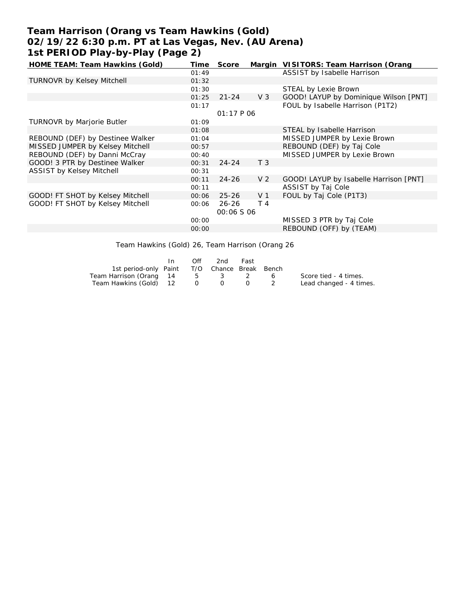# **Team Harrison (Orang vs Team Hawkins (Gold) 02/19/22 6:30 p.m. PT at Las Vegas, Nev. (AU Arena) 1st PERIOD Play-by-Play (Page 2)**

| HOME TEAM: Team Hawkins (Gold)    | Time  | Score             |                | Margin VISITORS: Team Harrison (Orang  |
|-----------------------------------|-------|-------------------|----------------|----------------------------------------|
|                                   | 01:49 |                   |                | ASSIST by Isabelle Harrison            |
| <b>TURNOVR by Kelsey Mitchell</b> | 01:32 |                   |                |                                        |
|                                   | 01:30 |                   |                | STEAL by Lexie Brown                   |
|                                   | 01:25 | $21 - 24$         | $V_3$          | GOOD! LAYUP by Dominique Wilson [PNT]  |
|                                   | 01:17 |                   |                | FOUL by Isabelle Harrison (P1T2)       |
|                                   |       | 01:17 P 06        |                |                                        |
| <b>TURNOVR by Marjorie Butler</b> | 01:09 |                   |                |                                        |
|                                   | 01:08 |                   |                | STEAL by Isabelle Harrison             |
| REBOUND (DEF) by Destinee Walker  | 01:04 |                   |                | MISSED JUMPER by Lexie Brown           |
| MISSED JUMPER by Kelsey Mitchell  | 00:57 |                   |                | REBOUND (DEF) by Taj Cole              |
| REBOUND (DEF) by Danni McCray     | 00:40 |                   |                | MISSED JUMPER by Lexie Brown           |
| GOOD! 3 PTR by Destinee Walker    | 00:31 | $24 - 24$         | T <sub>3</sub> |                                        |
| <b>ASSIST by Kelsey Mitchell</b>  | 00:31 |                   |                |                                        |
|                                   | 00:11 | $24 - 26$         | V <sub>2</sub> | GOOD! LAYUP by Isabelle Harrison [PNT] |
|                                   | 00:11 |                   |                | ASSIST by Taj Cole                     |
| GOOD! FT SHOT by Kelsey Mitchell  | 00:06 | $25 - 26$         | V <sub>1</sub> | FOUL by Taj Cole (P1T3)                |
| GOOD! FT SHOT by Kelsey Mitchell  | 00:06 | $26 - 26$         | T 4            |                                        |
|                                   |       | <i>00:06 S 06</i> |                |                                        |
|                                   | 00:00 |                   |                | MISSED 3 PTR by Taj Cole               |
|                                   | 00:00 |                   |                | REBOUND (OFF) by (TEAM)                |
|                                   |       |                   |                |                                        |

Team Hawkins (Gold) 26, Team Harrison (Orang 26

|                                              | $\mathsf{In}$ | Off | -2nd | Fast |                         |
|----------------------------------------------|---------------|-----|------|------|-------------------------|
| 1st period-only Paint T/O Chance Break Bench |               |     |      |      |                         |
| Team Harrison (Orang 14 5 3 2 6              |               |     |      |      | Score tied - 4 times.   |
| Team Hawkins (Gold) 12 0                     |               |     |      |      | Lead changed - 4 times. |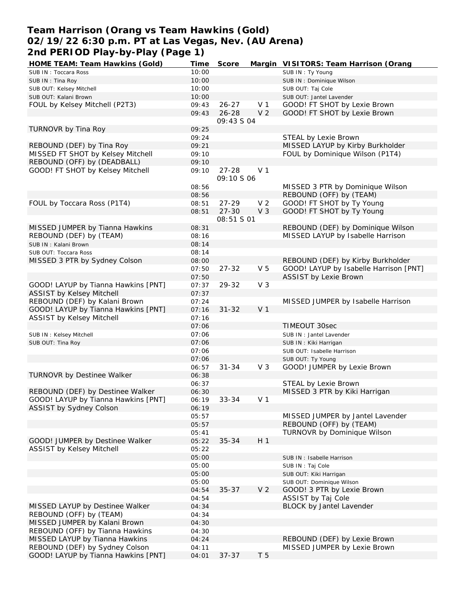## **Team Harrison (Orang vs Team Hawkins (Gold) 02/19/22 6:30 p.m. PT at Las Vegas, Nev. (AU Arena) 2nd PERIOD Play-by-Play (Page 1)**

| HOME TEAM: Team Hawkins (Gold)      | Time  | Score       |                | Margin VISITORS: Team Harrison (Orang  |
|-------------------------------------|-------|-------------|----------------|----------------------------------------|
| SUB IN: Toccara Ross                | 10:00 |             |                | SUB IN: Ty Young                       |
| SUB IN: Tina Roy                    | 10:00 |             |                | SUB IN: Dominique Wilson               |
| SUB OUT: Kelsey Mitchell            | 10:00 |             |                | SUB OUT: Taj Cole                      |
| SUB OUT: Kalani Brown               | 10:00 |             |                | SUB OUT: Jantel Lavender               |
| FOUL by Kelsey Mitchell (P2T3)      | 09:43 | $26 - 27$   | V <sub>1</sub> | GOOD! FT SHOT by Lexie Brown           |
|                                     | 09:43 | $26 - 28$   | V <sub>2</sub> | GOOD! FT SHOT by Lexie Brown           |
|                                     |       | 09:43 S 04  |                |                                        |
| TURNOVR by Tina Roy                 | 09:25 |             |                |                                        |
|                                     | 09:24 |             |                | STEAL by Lexie Brown                   |
| REBOUND (DEF) by Tina Roy           | 09:21 |             |                | MISSED LAYUP by Kirby Burkholder       |
| MISSED FT SHOT by Kelsey Mitchell   | 09:10 |             |                | FOUL by Dominique Wilson (P1T4)        |
| REBOUND (OFF) by (DEADBALL)         | 09:10 |             |                |                                        |
| GOOD! FT SHOT by Kelsey Mitchell    | 09:10 | $27 - 28$   | V <sub>1</sub> |                                        |
|                                     |       | 09:10 \$ 06 |                |                                        |
|                                     |       |             |                | MISSED 3 PTR by Dominique Wilson       |
|                                     | 08:56 |             |                |                                        |
|                                     | 08:56 |             |                | REBOUND (OFF) by (TEAM)                |
| FOUL by Toccara Ross (P1T4)         | 08:51 | $27 - 29$   | V <sub>2</sub> | GOOD! FT SHOT by Ty Young              |
|                                     | 08:51 | $27 - 30$   | V <sub>3</sub> | GOOD! FT SHOT by Ty Young              |
|                                     |       | 08:51 S 01  |                |                                        |
| MISSED JUMPER by Tianna Hawkins     | 08:31 |             |                | REBOUND (DEF) by Dominique Wilson      |
| REBOUND (DEF) by (TEAM)             | 08:16 |             |                | MISSED LAYUP by Isabelle Harrison      |
| SUB IN: Kalani Brown                | 08:14 |             |                |                                        |
| SUB OUT: Toccara Ross               | 08:14 |             |                |                                        |
| MISSED 3 PTR by Sydney Colson       | 08:00 |             |                | REBOUND (DEF) by Kirby Burkholder      |
|                                     | 07:50 | $27 - 32$   | V <sub>5</sub> | GOOD! LAYUP by Isabelle Harrison [PNT] |
|                                     | 07:50 |             |                | <b>ASSIST by Lexie Brown</b>           |
| GOOD! LAYUP by Tianna Hawkins [PNT] | 07:37 | 29-32       | V <sub>3</sub> |                                        |
| <b>ASSIST by Kelsey Mitchell</b>    | 07:37 |             |                |                                        |
| REBOUND (DEF) by Kalani Brown       | 07:24 |             |                | MISSED JUMPER by Isabelle Harrison     |
| GOOD! LAYUP by Tianna Hawkins [PNT] | 07:16 | $31 - 32$   | V <sub>1</sub> |                                        |
| ASSIST by Kelsey Mitchell           | 07:16 |             |                |                                        |
|                                     | 07:06 |             |                | TIMEOUT 30sec                          |
| SUB IN: Kelsey Mitchell             | 07:06 |             |                | SUB IN : Jantel Lavender               |
| SUB OUT: Tina Roy                   | 07:06 |             |                | SUB IN: Kiki Harrigan                  |
|                                     | 07:06 |             |                | SUB OUT: Isabelle Harrison             |
|                                     | 07:06 |             |                | SUB OUT: Ty Young                      |
|                                     | 06:57 | $31 - 34$   | $V_3$          | GOOD! JUMPER by Lexie Brown            |
| TURNOVR by Destinee Walker          | 06:38 |             |                |                                        |
|                                     | 06:37 |             |                | STEAL by Lexie Brown                   |
| REBOUND (DEF) by Destinee Walker    | 06:30 |             |                | MISSED 3 PTR by Kiki Harrigan          |
| GOOD! LAYUP by Tianna Hawkins [PNT] | 06:19 | $33 - 34$   | V 1            |                                        |
| ASSIST by Sydney Colson             | 06:19 |             |                |                                        |
|                                     | 05:57 |             |                | MISSED JUMPER by Jantel Lavender       |
|                                     | 05:57 |             |                | REBOUND (OFF) by (TEAM)                |
|                                     | 05:41 |             |                | TURNOVR by Dominique Wilson            |
| GOOD! JUMPER by Destinee Walker     |       | $35 - 34$   | H 1            |                                        |
|                                     | 05:22 |             |                |                                        |
| ASSIST by Kelsey Mitchell           | 05:22 |             |                |                                        |
|                                     | 05:00 |             |                | SUB IN : Isabelle Harrison             |
|                                     | 05:00 |             |                | SUB IN: Taj Cole                       |
|                                     | 05:00 |             |                | SUB OUT: Kiki Harrigan                 |
|                                     | 05:00 |             |                | SUB OUT: Dominique Wilson              |
|                                     | 04:54 | $35 - 37$   | V <sub>2</sub> | GOOD! 3 PTR by Lexie Brown             |
|                                     | 04:54 |             |                | ASSIST by Taj Cole                     |
| MISSED LAYUP by Destinee Walker     | 04:34 |             |                | BLOCK by Jantel Lavender               |
| REBOUND (OFF) by (TEAM)             | 04:34 |             |                |                                        |
| MISSED JUMPER by Kalani Brown       | 04:30 |             |                |                                        |
| REBOUND (OFF) by Tianna Hawkins     | 04:30 |             |                |                                        |
| MISSED LAYUP by Tianna Hawkins      | 04:24 |             |                | REBOUND (DEF) by Lexie Brown           |
| REBOUND (DEF) by Sydney Colson      | 04:11 |             |                | MISSED JUMPER by Lexie Brown           |
| GOOD! LAYUP by Tianna Hawkins [PNT] | 04:01 | $37 - 37$   | T 5            |                                        |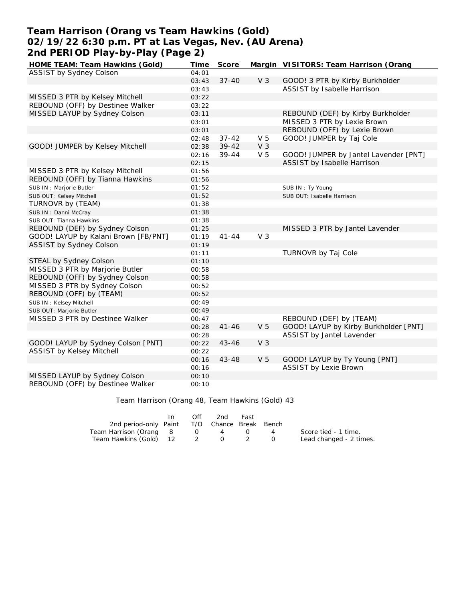## **Team Harrison (Orang vs Team Hawkins (Gold) 02/19/22 6:30 p.m. PT at Las Vegas, Nev. (AU Arena) 2nd PERIOD Play-by-Play (Page 2)**

| HOME TEAM: Team Hawkins (Gold)       | Time  | Score     |                | Margin VISITORS: Team Harrison (Orang |
|--------------------------------------|-------|-----------|----------------|---------------------------------------|
| ASSIST by Sydney Colson              | 04:01 |           |                |                                       |
|                                      | 03:43 | $37 - 40$ | V <sub>3</sub> | GOOD! 3 PTR by Kirby Burkholder       |
|                                      | 03:43 |           |                | ASSIST by Isabelle Harrison           |
| MISSED 3 PTR by Kelsey Mitchell      | 03:22 |           |                |                                       |
| REBOUND (OFF) by Destinee Walker     | 03:22 |           |                |                                       |
| MISSED LAYUP by Sydney Colson        | 03:11 |           |                | REBOUND (DEF) by Kirby Burkholder     |
|                                      | 03:01 |           |                | MISSED 3 PTR by Lexie Brown           |
|                                      | 03:01 |           |                | REBOUND (OFF) by Lexie Brown          |
|                                      | 02:48 | $37 - 42$ | V <sub>5</sub> | GOOD! JUMPER by Taj Cole              |
| GOOD! JUMPER by Kelsey Mitchell      | 02:38 | $39 - 42$ | V <sub>3</sub> |                                       |
|                                      | 02:16 | $39 - 44$ | V <sub>5</sub> | GOOD! JUMPER by Jantel Lavender [PNT] |
|                                      | 02:15 |           |                | ASSIST by Isabelle Harrison           |
| MISSED 3 PTR by Kelsey Mitchell      | 01:56 |           |                |                                       |
| REBOUND (OFF) by Tianna Hawkins      | 01:56 |           |                |                                       |
| SUB IN : Marjorie Butler             | 01:52 |           |                | SUB IN: Ty Young                      |
| SUB OUT: Kelsey Mitchell             | 01:52 |           |                | SUB OUT: Isabelle Harrison            |
| TURNOVR by (TEAM)                    | 01:38 |           |                |                                       |
| SUB IN: Danni McCray                 | 01:38 |           |                |                                       |
| SUB OUT: Tianna Hawkins              | 01:38 |           |                |                                       |
| REBOUND (DEF) by Sydney Colson       | 01:25 |           |                | MISSED 3 PTR by Jantel Lavender       |
| GOOD! LAYUP by Kalani Brown [FB/PNT] | 01:19 | $41 - 44$ | V <sub>3</sub> |                                       |
| ASSIST by Sydney Colson              | 01:19 |           |                |                                       |
|                                      | 01:11 |           |                | TURNOVR by Taj Cole                   |
| STEAL by Sydney Colson               | 01:10 |           |                |                                       |
| MISSED 3 PTR by Marjorie Butler      | 00:58 |           |                |                                       |
| REBOUND (OFF) by Sydney Colson       | 00:58 |           |                |                                       |
| MISSED 3 PTR by Sydney Colson        | 00:52 |           |                |                                       |
| REBOUND (OFF) by (TEAM)              | 00:52 |           |                |                                       |
| SUB IN: Kelsey Mitchell              | 00:49 |           |                |                                       |
| SUB OUT: Marjorie Butler             | 00:49 |           |                |                                       |
| MISSED 3 PTR by Destinee Walker      | 00:47 |           |                | REBOUND (DEF) by (TEAM)               |
|                                      | 00:28 | $41 - 46$ | V <sub>5</sub> | GOOD! LAYUP by Kirby Burkholder [PNT] |
|                                      | 00:28 |           |                | ASSIST by Jantel Lavender             |
| GOOD! LAYUP by Sydney Colson [PNT]   | 00:22 | $43 - 46$ | V <sub>3</sub> |                                       |
| ASSIST by Kelsey Mitchell            | 00:22 |           |                |                                       |
|                                      | 00:16 | 43-48     | V <sub>5</sub> | GOOD! LAYUP by Ty Young [PNT]         |
|                                      | 00:16 |           |                | <b>ASSIST by Lexie Brown</b>          |
| MISSED LAYUP by Sydney Colson        | 00:10 |           |                |                                       |
| REBOUND (OFF) by Destinee Walker     | 00:10 |           |                |                                       |

Team Harrison (Orang 48, Team Hawkins (Gold) 43

|                                              | Off | 2nd                                    | Fast |                |                         |
|----------------------------------------------|-----|----------------------------------------|------|----------------|-------------------------|
| 2nd period-only Paint T/O Chance Break Bench |     |                                        |      |                |                         |
| Team Harrison (Orang 8                       |     | $\begin{array}{ccc} 0 & 4 \end{array}$ |      | $\overline{a}$ | Score tied - 1 time.    |
| Team Hawkins (Gold) 12 2 0 2                 |     |                                        |      |                | Lead changed - 2 times. |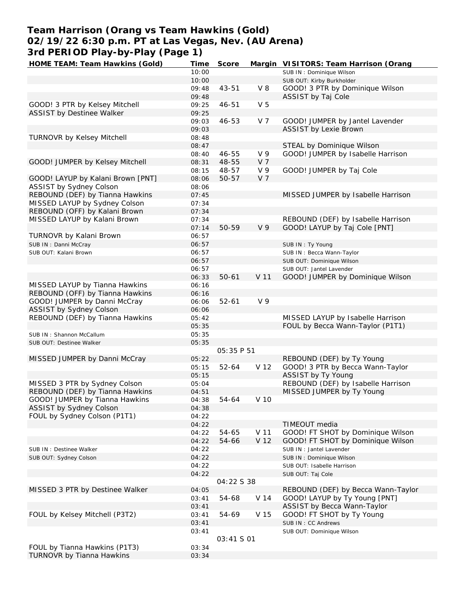# **Team Harrison (Orang vs Team Hawkins (Gold) 02/19/22 6:30 p.m. PT at Las Vegas, Nev. (AU Arena) 3rd PERIOD Play-by-Play (Page 1)**

| HOME TEAM: Team Hawkins (Gold)    | Time  | Score      |                 | Margin VISITORS: Team Harrison (Orang |
|-----------------------------------|-------|------------|-----------------|---------------------------------------|
|                                   | 10:00 |            |                 | SUB IN: Dominique Wilson              |
|                                   | 10:00 |            |                 | SUB OUT: Kirby Burkholder             |
|                                   | 09:48 | 43-51      | $V_8$           | GOOD! 3 PTR by Dominique Wilson       |
|                                   | 09:48 |            |                 | ASSIST by Taj Cole                    |
| GOOD! 3 PTR by Kelsey Mitchell    | 09:25 | 46-51      | V <sub>5</sub>  |                                       |
| ASSIST by Destinee Walker         | 09:25 |            |                 |                                       |
|                                   | 09:03 | 46-53      | V 7             | GOOD! JUMPER by Jantel Lavender       |
|                                   | 09:03 |            |                 | <b>ASSIST by Lexie Brown</b>          |
| TURNOVR by Kelsey Mitchell        | 08:48 |            |                 |                                       |
|                                   | 08:47 |            |                 | STEAL by Dominique Wilson             |
|                                   | 08:40 | 46-55      | V <sub>9</sub>  | GOOD! JUMPER by Isabelle Harrison     |
| GOOD! JUMPER by Kelsey Mitchell   | 08:31 | 48-55      | V 7             |                                       |
|                                   |       |            |                 | GOOD! JUMPER by Taj Cole              |
|                                   | 08:15 | 48-57      | V 9             |                                       |
| GOOD! LAYUP by Kalani Brown [PNT] | 08:06 | $50 - 57$  | V 7             |                                       |
| ASSIST by Sydney Colson           | 08:06 |            |                 |                                       |
| REBOUND (DEF) by Tianna Hawkins   | 07:45 |            |                 | MISSED JUMPER by Isabelle Harrison    |
| MISSED LAYUP by Sydney Colson     | 07:34 |            |                 |                                       |
| REBOUND (OFF) by Kalani Brown     | 07:34 |            |                 |                                       |
| MISSED LAYUP by Kalani Brown      | 07:34 |            |                 | REBOUND (DEF) by Isabelle Harrison    |
|                                   | 07:14 | 50-59      | V <sub>9</sub>  | GOOD! LAYUP by Taj Cole [PNT]         |
| TURNOVR by Kalani Brown           | 06:57 |            |                 |                                       |
| SUB IN: Danni McCray              | 06:57 |            |                 | SUB IN: Ty Young                      |
| SUB OUT: Kalani Brown             | 06:57 |            |                 | SUB IN: Becca Wann-Taylor             |
|                                   | 06:57 |            |                 | SUB OUT: Dominique Wilson             |
|                                   | 06:57 |            |                 | SUB OUT: Jantel Lavender              |
|                                   | 06:33 | $50 - 61$  | V 11            | GOOD! JUMPER by Dominique Wilson      |
| MISSED LAYUP by Tianna Hawkins    | 06:16 |            |                 |                                       |
| REBOUND (OFF) by Tianna Hawkins   | 06:16 |            |                 |                                       |
| GOOD! JUMPER by Danni McCray      | 06:06 | $52 - 61$  | V 9             |                                       |
| ASSIST by Sydney Colson           | 06:06 |            |                 |                                       |
| REBOUND (DEF) by Tianna Hawkins   | 05:42 |            |                 | MISSED LAYUP by Isabelle Harrison     |
|                                   | 05:35 |            |                 | FOUL by Becca Wann-Taylor (P1T1)      |
| SUB IN: Shannon McCallum          | 05:35 |            |                 |                                       |
| SUB OUT: Destinee Walker          | 05:35 |            |                 |                                       |
|                                   |       | 05:35 P 51 |                 |                                       |
|                                   |       |            |                 | REBOUND (DEF) by Ty Young             |
| MISSED JUMPER by Danni McCray     | 05:22 |            |                 |                                       |
|                                   | 05:15 | $52 - 64$  | V 12            | GOOD! 3 PTR by Becca Wann-Taylor      |
|                                   | 05:15 |            |                 | ASSIST by Ty Young                    |
| MISSED 3 PTR by Sydney Colson     | 05:04 |            |                 | REBOUND (DEF) by Isabelle Harrison    |
| REBOUND (DEF) by Tianna Hawkins   | 04:51 |            |                 | MISSED JUMPER by Ty Young             |
| GOOD! JUMPER by Tianna Hawkins    | 04:38 | 54-64      | V 10            |                                       |
| ASSIST by Sydney Colson           | 04:38 |            |                 |                                       |
| FOUL by Sydney Colson (P1T1)      | 04:22 |            |                 |                                       |
|                                   | 04:22 |            |                 | TIMEOUT media                         |
|                                   | 04:22 | 54-65      | V <sub>11</sub> | GOOD! FT SHOT by Dominique Wilson     |
|                                   | 04:22 | 54-66      | V <sub>12</sub> | GOOD! FT SHOT by Dominique Wilson     |
| SUB IN: Destinee Walker           | 04:22 |            |                 | SUB IN: Jantel Lavender               |
| SUB OUT: Sydney Colson            | 04:22 |            |                 | SUB IN: Dominique Wilson              |
|                                   | 04:22 |            |                 | SUB OUT: Isabelle Harrison            |
|                                   | 04:22 |            |                 | SUB OUT: Taj Cole                     |
|                                   |       | 04:22 S 38 |                 |                                       |
| MISSED 3 PTR by Destinee Walker   | 04:05 |            |                 | REBOUND (DEF) by Becca Wann-Taylor    |
|                                   | 03:41 | 54-68      | V 14            | GOOD! LAYUP by Ty Young [PNT]         |
|                                   | 03:41 |            |                 | ASSIST by Becca Wann-Taylor           |
| FOUL by Kelsey Mitchell (P3T2)    | 03:41 | 54-69      | V 15            | GOOD! FT SHOT by Ty Young             |
|                                   | 03:41 |            |                 | SUB IN: CC Andrews                    |
|                                   | 03:41 |            |                 | SUB OUT: Dominique Wilson             |
|                                   |       | 03:41 S 01 |                 |                                       |
| FOUL by Tianna Hawkins (P1T3)     | 03:34 |            |                 |                                       |
| TURNOVR by Tianna Hawkins         | 03:34 |            |                 |                                       |
|                                   |       |            |                 |                                       |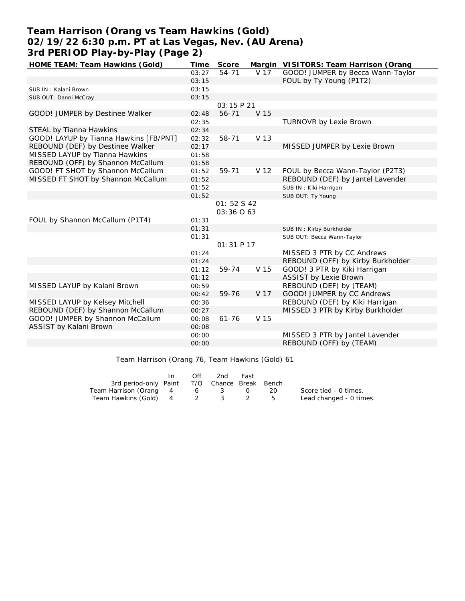## **Team Harrison (Orang vs Team Hawkins (Gold) 02/19/22 6:30 p.m. PT at Las Vegas, Nev. (AU Arena) 3rd PERIOD Play-by-Play (Page 2)**

| HOME TEAM: Team Hawkins (Gold)         | Time  | Score       |                 | Margin VISITORS: Team Harrison (Orang |
|----------------------------------------|-------|-------------|-----------------|---------------------------------------|
|                                        | 03:27 | $54 - 71$   | V 17            | GOOD! JUMPER by Becca Wann-Taylor     |
|                                        | 03:15 |             |                 | FOUL by Ty Young (P1T2)               |
| SUB IN: Kalani Brown                   | 03:15 |             |                 |                                       |
| SUB OUT: Danni McCray                  | 03:15 |             |                 |                                       |
|                                        |       | 03:15 P 21  |                 |                                       |
| GOOD! JUMPER by Destinee Walker        | 02:48 | 56-71       | V 15            |                                       |
|                                        | 02:35 |             |                 | TURNOVR by Lexie Brown                |
| STEAL by Tianna Hawkins                | 02:34 |             |                 |                                       |
| GOOD! LAYUP by Tianna Hawkins [FB/PNT] | 02:32 | 58-71       | V 13            |                                       |
| REBOUND (DEF) by Destinee Walker       | 02:17 |             |                 | MISSED JUMPER by Lexie Brown          |
| MISSED LAYUP by Tianna Hawkins         | 01:58 |             |                 |                                       |
| REBOUND (OFF) by Shannon McCallum      | 01:58 |             |                 |                                       |
| GOOD! FT SHOT by Shannon McCallum      | 01:52 | 59-71       | V <sub>12</sub> | FOUL by Becca Wann-Taylor (P2T3)      |
| MISSED FT SHOT by Shannon McCallum     | 01:52 |             |                 | REBOUND (DEF) by Jantel Lavender      |
|                                        | 01:52 |             |                 | SUB IN: Kiki Harrigan                 |
|                                        | 01:52 |             |                 | SUB OUT: Ty Young                     |
|                                        |       | 01: 52 S 42 |                 |                                       |
|                                        |       | 03:36 063   |                 |                                       |
| FOUL by Shannon McCallum (P1T4)        | 01:31 |             |                 |                                       |
|                                        | 01:31 |             |                 | SUB IN: Kirby Burkholder              |
|                                        | 01:31 |             |                 | SUB OUT: Becca Wann-Taylor            |
|                                        |       | 01:31 P 17  |                 |                                       |
|                                        | 01:24 |             |                 | MISSED 3 PTR by CC Andrews            |
|                                        | 01:24 |             |                 | REBOUND (OFF) by Kirby Burkholder     |
|                                        | 01:12 | 59-74       | V 15            | GOOD! 3 PTR by Kiki Harrigan          |
|                                        | 01:12 |             |                 | <b>ASSIST by Lexie Brown</b>          |
| MISSED LAYUP by Kalani Brown           | 00:59 |             |                 | REBOUND (DEF) by (TEAM)               |
|                                        | 00:42 | 59-76       | V 17            | GOOD! JUMPER by CC Andrews            |
| MISSED LAYUP by Kelsey Mitchell        | 00:36 |             |                 | REBOUND (DEF) by Kiki Harrigan        |
| REBOUND (DEF) by Shannon McCallum      | 00:27 |             |                 | MISSED 3 PTR by Kirby Burkholder      |
| GOOD! JUMPER by Shannon McCallum       | 00:08 | $61 - 76$   | V 15            |                                       |
| ASSIST by Kalani Brown                 | 00:08 |             |                 |                                       |
|                                        | 00:00 |             |                 | MISSED 3 PTR by Jantel Lavender       |
|                                        | 00:00 |             |                 | REBOUND (OFF) by (TEAM)               |

Team Harrison (Orang 76, Team Hawkins (Gold) 61

|                                              | Off | 2nd | Fast |      |                         |
|----------------------------------------------|-----|-----|------|------|-------------------------|
| 3rd period-only Paint T/O Chance Break Bench |     |     |      |      |                         |
| Team Harrison (Orang 4 6 3 0                 |     |     |      | - 20 | Score tied - 0 times.   |
| Team Hawkins (Gold) 4 2 3 2                  |     |     |      |      | Lead changed - 0 times. |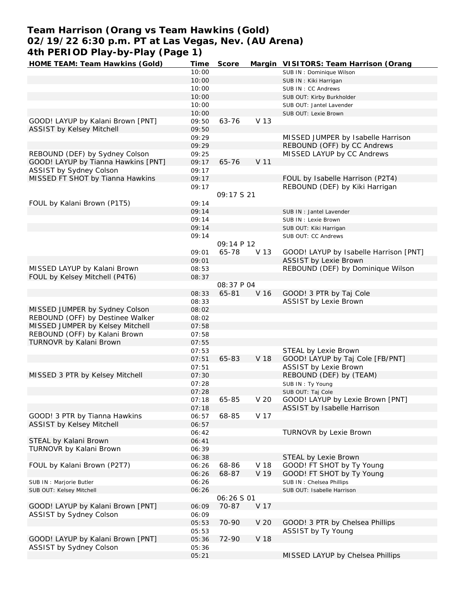## **Team Harrison (Orang vs Team Hawkins (Gold) 02/19/22 6:30 p.m. PT at Las Vegas, Nev. (AU Arena) 4th PERIOD Play-by-Play (Page 1)**

| HOME TEAM: Team Hawkins (Gold)      | Time  | Score             |                 | Margin VISITORS: Team Harrison (Orang  |
|-------------------------------------|-------|-------------------|-----------------|----------------------------------------|
|                                     | 10:00 |                   |                 | SUB IN: Dominique Wilson               |
|                                     | 10:00 |                   |                 | SUB IN: Kiki Harrigan                  |
|                                     | 10:00 |                   |                 | SUB IN: CC Andrews                     |
|                                     | 10:00 |                   |                 | SUB OUT: Kirby Burkholder              |
|                                     | 10:00 |                   |                 | SUB OUT: Jantel Lavender               |
|                                     | 10:00 |                   |                 | SUB OUT: Lexie Brown                   |
| GOOD! LAYUP by Kalani Brown [PNT]   | 09:50 | 63-76             | V 13            |                                        |
| ASSIST by Kelsey Mitchell           | 09:50 |                   |                 |                                        |
|                                     | 09:29 |                   |                 | MISSED JUMPER by Isabelle Harrison     |
|                                     |       |                   |                 |                                        |
|                                     | 09:29 |                   |                 | REBOUND (OFF) by CC Andrews            |
| REBOUND (DEF) by Sydney Colson      | 09:25 |                   |                 | MISSED LAYUP by CC Andrews             |
| GOOD! LAYUP by Tianna Hawkins [PNT] | 09:17 | 65-76             | V <sub>11</sub> |                                        |
| ASSIST by Sydney Colson             | 09:17 |                   |                 |                                        |
| MISSED FT SHOT by Tianna Hawkins    | 09:17 |                   |                 | FOUL by Isabelle Harrison (P2T4)       |
|                                     | 09:17 |                   |                 | REBOUND (DEF) by Kiki Harrigan         |
|                                     |       | 09:17521          |                 |                                        |
| FOUL by Kalani Brown (P1T5)         | 09:14 |                   |                 |                                        |
|                                     | 09:14 |                   |                 | SUB IN: Jantel Lavender                |
|                                     | 09:14 |                   |                 | SUB IN : Lexie Brown                   |
|                                     | 09:14 |                   |                 | SUB OUT: Kiki Harrigan                 |
|                                     | 09:14 |                   |                 | SUB OUT: CC Andrews                    |
|                                     |       | 09:14 P 12        |                 |                                        |
|                                     | 09:01 | 65-78             | V 13            | GOOD! LAYUP by Isabelle Harrison [PNT] |
|                                     |       |                   |                 | <b>ASSIST by Lexie Brown</b>           |
|                                     | 09:01 |                   |                 |                                        |
| MISSED LAYUP by Kalani Brown        | 08:53 |                   |                 | REBOUND (DEF) by Dominique Wilson      |
| FOUL by Kelsey Mitchell (P4T6)      | 08:37 |                   |                 |                                        |
|                                     |       | 08:37 P 04        |                 |                                        |
|                                     | 08:33 | 65-81             | V 16            | GOOD! 3 PTR by Taj Cole                |
|                                     | 08:33 |                   |                 | <b>ASSIST by Lexie Brown</b>           |
| MISSED JUMPER by Sydney Colson      | 08:02 |                   |                 |                                        |
| REBOUND (OFF) by Destinee Walker    | 08:02 |                   |                 |                                        |
| MISSED JUMPER by Kelsey Mitchell    | 07:58 |                   |                 |                                        |
| REBOUND (OFF) by Kalani Brown       | 07:58 |                   |                 |                                        |
| TURNOVR by Kalani Brown             | 07:55 |                   |                 |                                        |
|                                     | 07:53 |                   |                 | STEAL by Lexie Brown                   |
|                                     | 07:51 | 65-83             | V 18            | GOOD! LAYUP by Taj Cole [FB/PNT]       |
|                                     | 07:51 |                   |                 | <b>ASSIST by Lexie Brown</b>           |
| MISSED 3 PTR by Kelsey Mitchell     | 07:30 |                   |                 | REBOUND (DEF) by (TEAM)                |
|                                     | 07:28 |                   |                 | SUB IN: Ty Young                       |
|                                     | 07:28 |                   |                 |                                        |
|                                     |       |                   |                 | SUB OUT: Taj Cole                      |
|                                     | 07:18 | 65-85             | V 20            | GOOD! LAYUP by Lexie Brown [PNT]       |
|                                     | 07:18 |                   |                 | ASSIST by Isabelle Harrison            |
| GOOD! 3 PTR by Tianna Hawkins       | 06:57 | 68-85             | V 17            |                                        |
| ASSIST by Kelsey Mitchell           | 06:57 |                   |                 |                                        |
|                                     | 06:42 |                   |                 | TURNOVR by Lexie Brown                 |
| STEAL by Kalani Brown               | 06:41 |                   |                 |                                        |
| TURNOVR by Kalani Brown             | 06:39 |                   |                 |                                        |
|                                     | 06:38 |                   |                 | STEAL by Lexie Brown                   |
| FOUL by Kalani Brown (P2T7)         | 06:26 | 68-86             | V 18            | GOOD! FT SHOT by Ty Young              |
|                                     | 06:26 | 68-87             | V 19            | GOOD! FT SHOT by Ty Young              |
| SUB IN : Marjorie Butler            | 06:26 |                   |                 | SUB IN: Chelsea Phillips               |
| SUB OUT: Kelsey Mitchell            | 06:26 |                   |                 | SUB OUT: Isabelle Harrison             |
|                                     |       | <i>06:26 S 01</i> |                 |                                        |
| GOOD! LAYUP by Kalani Brown [PNT]   | 06:09 | 70-87             | V 17            |                                        |
| ASSIST by Sydney Colson             | 06:09 |                   |                 |                                        |
|                                     | 05:53 | 70-90             | V 20            | GOOD! 3 PTR by Chelsea Phillips        |
|                                     |       |                   |                 |                                        |
|                                     | 05:53 |                   |                 | ASSIST by Ty Young                     |
| GOOD! LAYUP by Kalani Brown [PNT]   | 05:36 | 72-90             | V 18            |                                        |
| ASSIST by Sydney Colson             | 05:36 |                   |                 |                                        |
|                                     | 05:21 |                   |                 | MISSED LAYUP by Chelsea Phillips       |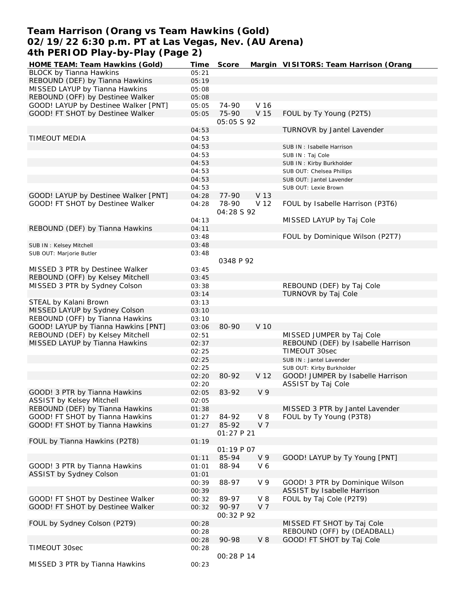## **Team Harrison (Orang vs Team Hawkins (Gold) 02/19/22 6:30 p.m. PT at Las Vegas, Nev. (AU Arena) 4th PERIOD Play-by-Play (Page 2)**

| HOME TEAM: Team Hawkins (Gold)       | Time  | Score               |                | Margin VISITORS: Team Harrison (Orang |
|--------------------------------------|-------|---------------------|----------------|---------------------------------------|
| <b>BLOCK by Tianna Hawkins</b>       | 05:21 |                     |                |                                       |
| REBOUND (DEF) by Tianna Hawkins      | 05:19 |                     |                |                                       |
| MISSED LAYUP by Tianna Hawkins       | 05:08 |                     |                |                                       |
| REBOUND (OFF) by Destinee Walker     | 05:08 |                     |                |                                       |
| GOOD! LAYUP by Destinee Walker [PNT] | 05:05 | 74-90               | V 16           |                                       |
| GOOD! FT SHOT by Destinee Walker     | 05:05 | 75-90               | V 15           | FOUL by Ty Young (P2T5)               |
|                                      |       | 05:05 \$92          |                |                                       |
|                                      | 04:53 |                     |                | TURNOVR by Jantel Lavender            |
| TIMEOUT MEDIA                        | 04:53 |                     |                |                                       |
|                                      | 04:53 |                     |                | SUB IN: Isabelle Harrison             |
|                                      | 04:53 |                     |                | SUB IN: Taj Cole                      |
|                                      | 04:53 |                     |                | SUB IN: Kirby Burkholder              |
|                                      | 04:53 |                     |                | SUB OUT: Chelsea Phillips             |
|                                      | 04:53 |                     |                | SUB OUT: Jantel Lavender              |
|                                      | 04:53 |                     |                | SUB OUT: Lexie Brown                  |
| GOOD! LAYUP by Destinee Walker [PNT] | 04:28 | 77-90               | V 13           |                                       |
| GOOD! FT SHOT by Destinee Walker     | 04:28 | 78-90<br>04:28 S 92 | V 12           | FOUL by Isabelle Harrison (P3T6)      |
|                                      | 04:13 |                     |                | MISSED LAYUP by Taj Cole              |
| REBOUND (DEF) by Tianna Hawkins      | 04:11 |                     |                |                                       |
|                                      | 03:48 |                     |                | FOUL by Dominique Wilson (P2T7)       |
|                                      |       |                     |                |                                       |
| SUB IN: Kelsey Mitchell              | 03:48 |                     |                |                                       |
| SUB OUT: Marjorie Butler             | 03:48 | 0348 P 92           |                |                                       |
|                                      |       |                     |                |                                       |
| MISSED 3 PTR by Destinee Walker      | 03:45 |                     |                |                                       |
| REBOUND (OFF) by Kelsey Mitchell     | 03:45 |                     |                |                                       |
| MISSED 3 PTR by Sydney Colson        | 03:38 |                     |                | REBOUND (DEF) by Taj Cole             |
|                                      | 03:14 |                     |                | TURNOVR by Taj Cole                   |
| STEAL by Kalani Brown                | 03:13 |                     |                |                                       |
| MISSED LAYUP by Sydney Colson        | 03:10 |                     |                |                                       |
| REBOUND (OFF) by Tianna Hawkins      | 03:10 |                     |                |                                       |
| GOOD! LAYUP by Tianna Hawkins [PNT]  | 03:06 | 80-90               | V 10           |                                       |
| REBOUND (DEF) by Kelsey Mitchell     | 02:51 |                     |                | MISSED JUMPER by Taj Cole             |
| MISSED LAYUP by Tianna Hawkins       | 02:37 |                     |                | REBOUND (DEF) by Isabelle Harrison    |
|                                      | 02:25 |                     |                | TIMEOUT 30sec                         |
|                                      | 02:25 |                     |                | SUB IN : Jantel Lavender              |
|                                      | 02:25 |                     |                | SUB OUT: Kirby Burkholder             |
|                                      | 02:20 | 80-92               | V 12           | GOOD! JUMPER by Isabelle Harrison     |
|                                      | 02:20 |                     |                | ASSIST by Taj Cole                    |
| GOOD! 3 PTR by Tianna Hawkins        | 02:05 | 83-92               | V <sub>9</sub> |                                       |
| ASSIST by Kelsey Mitchell            | 02:05 |                     |                |                                       |
| REBOUND (DEF) by Tianna Hawkins      | 01:38 |                     |                | MISSED 3 PTR by Jantel Lavender       |
| GOOD! FT SHOT by Tianna Hawkins      | 01:27 | 84-92               | $V_8$          | FOUL by Ty Young (P3T8)               |
| GOOD! FT SHOT by Tianna Hawkins      | 01:27 | 85-92               | V 7            |                                       |
|                                      |       | 01:27 P 21          |                |                                       |
| FOUL by Tianna Hawkins (P2T8)        | 01:19 |                     |                |                                       |
|                                      |       | 01:19P07            |                |                                       |
|                                      | 01:11 | 85-94               | V <sub>9</sub> | GOOD! LAYUP by Ty Young [PNT]         |
| GOOD! 3 PTR by Tianna Hawkins        | 01:01 | 88-94               | V6             |                                       |
| ASSIST by Sydney Colson              | 01:01 |                     |                |                                       |
|                                      | 00:39 | 88-97               | V 9            | GOOD! 3 PTR by Dominique Wilson       |
|                                      | 00:39 |                     |                | ASSIST by Isabelle Harrison           |
| GOOD! FT SHOT by Destinee Walker     | 00:32 | 89-97               | $V_8$          | FOUL by Taj Cole (P2T9)               |
| GOOD! FT SHOT by Destinee Walker     | 00:32 | 90-97               | V 7            |                                       |
| FOUL by Sydney Colson (P2T9)         | 00:28 | OO:32 P 92          |                | MISSED FT SHOT by Taj Cole            |
|                                      | 00:28 |                     |                | REBOUND (OFF) by (DEADBALL)           |
|                                      | 00:28 | 90-98               | $V_8$          | GOOD! FT SHOT by Taj Cole             |
| TIMEOUT 30sec                        | 00:28 |                     |                |                                       |
|                                      |       | 00:28 P 14          |                |                                       |
| MISSED 3 PTR by Tianna Hawkins       | 00:23 |                     |                |                                       |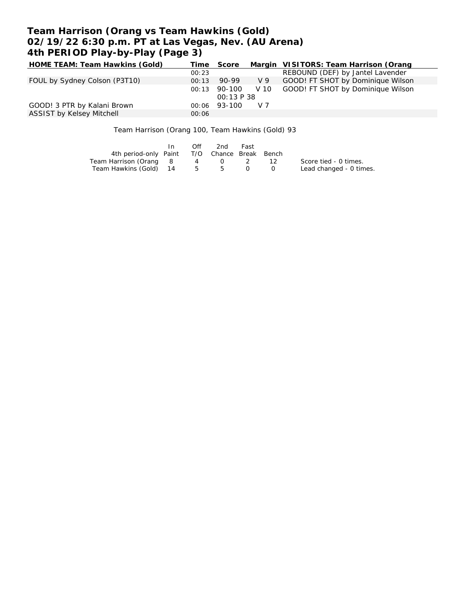# **Team Harrison (Orang vs Team Hawkins (Gold) 02/19/22 6:30 p.m. PT at Las Vegas, Nev. (AU Arena) 4th PERIOD Play-by-Play (Page 3)**

| HOME TEAM: Team Hawkins (Gold) |       | Time Score   |                 | Margin VISITORS: Team Harrison (Orang |  |  |
|--------------------------------|-------|--------------|-----------------|---------------------------------------|--|--|
|                                | 00:23 |              |                 | REBOUND (DEF) by Jantel Lavender      |  |  |
| FOUL by Sydney Colson (P3T10)  | 00:13 | 90-99        | V 9             | GOOD! FT SHOT by Dominique Wilson     |  |  |
|                                | 00:13 | 90-100       | V <sub>10</sub> | GOOD! FT SHOT by Dominique Wilson     |  |  |
| <i>00:13 P 38</i>              |       |              |                 |                                       |  |  |
| GOOD! 3 PTR by Kalani Brown    |       | 00:06 93-100 | V <sub>7</sub>  |                                       |  |  |
| ASSIST by Kelsey Mitchell      | 00:06 |              |                 |                                       |  |  |

Team Harrison (Orang 100, Team Hawkins (Gold) 93

|                                              | $\mathsf{In}$ | Off         | 2nd         | Fast |      |                         |
|----------------------------------------------|---------------|-------------|-------------|------|------|-------------------------|
| 4th period-only Paint T/O Chance Break Bench |               |             |             |      |      |                         |
| Team Harrison (Orang 8                       |               |             | 4 0 2       |      | - 12 | Score tied - 0 times.   |
| Team Hawkins (Gold) 14                       |               | $5^{\circ}$ | $5^{\circ}$ |      |      | Lead changed - 0 times. |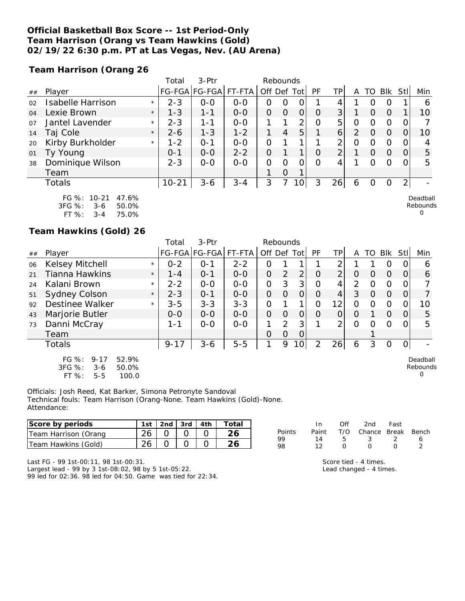### **Official Basketball Box Score -- 1st Period-Only Team Harrison (Orang vs Team Hawkins (Gold) 02/19/22 6:30 p.m. PT at Las Vegas, Nev. (AU Arena)**

**Team Harrison (Orang 26**

|    |                          |         | Total     | $3-Ptr$       | Rebounds |          |                |                |          |                 |   |          |            |          |          |
|----|--------------------------|---------|-----------|---------------|----------|----------|----------------|----------------|----------|-----------------|---|----------|------------|----------|----------|
| ## | Player                   |         | FG-FGA    | <b>FG-FGA</b> | FT-FTA   | Off Def  |                | Tot            | PF       | TP              | A | TO       | <b>Blk</b> | Stll     | Min      |
| 02 | <b>Isabelle Harrison</b> | $\star$ | $2 - 3$   | $0-0$         | $0-0$    | $\Omega$ | O              | O              |          | 4               |   |          | O          |          | 6        |
| 04 | Lexie Brown              | $\star$ | $1 - 3$   | $1 - 1$       | $0 - 0$  | 0        | $\Omega$       | $\overline{O}$ | $\Omega$ | 3 <sub>l</sub>  |   | $\Omega$ | $\Omega$   |          | 10       |
| 07 | Jantel Lavender          | $\star$ | $2 - 3$   | 1-1           | $0 - 0$  |          |                | 2              | $\Omega$ | 5               | O |          | O          |          |          |
| 14 | Taj Cole                 | $\star$ | $2 - 6$   | $1 - 3$       | $1 - 2$  | 1        | $\overline{4}$ | 5              |          | $\vert 6 \vert$ | 2 | O        | $\Omega$   |          | 10       |
| 20 | Kirby Burkholder         | $\star$ | $1 - 2$   | $0 - 1$       | $0 - 0$  | 0        |                |                |          | $\overline{2}$  | O | $\cap$   | $\Omega$   |          | 4        |
| 01 | Ty Young                 |         | $O - 1$   | $0 - 0$       | $2 - 2$  | O        |                |                | $\Omega$ | $\overline{2}$  |   | $\Omega$ | $\Omega$   | $\Omega$ | 5        |
| 38 | Dominique Wilson         |         | $2 - 3$   | $O-O$         | $0-0$    | 0        | ∩              | 0              | $\Omega$ | 4               |   |          | $\Omega$   |          | 5        |
|    | Team                     |         |           |               |          |          | $\Omega$       | 1              |          |                 |   |          |            |          |          |
|    | Totals                   |         | $10 - 21$ | $3 - 6$       | $3 - 4$  | 3        |                | 10             | 3        | 26              | 6 |          | O          | 2        |          |
|    | FG %: 10-21<br>47.6%     |         |           |               |          |          |                |                |          |                 |   |          |            |          | Deadball |

| FU 70.     | I U-Z I | 41.070 |
|------------|---------|--------|
| $3FG \%$ : | 3-6     | 50.0%  |
| $FT\%$ :   | $3 - 4$ | 75.0%  |

**Team Hawkins (Gold) 26**

|    |                                                                                         |         | Total    | $3-$ Ptr             |         | Rebounds       |               |                |           |                |          |          |          |          |                           |
|----|-----------------------------------------------------------------------------------------|---------|----------|----------------------|---------|----------------|---------------|----------------|-----------|----------------|----------|----------|----------|----------|---------------------------|
| ## | Player                                                                                  |         |          | FG-FGA FG-FGA FT-FTA |         | Off Def Tot    |               |                | <b>PF</b> | TPI            | A        | TO I     | Blk      | Stll     | Min                       |
| 06 | Kelsey Mitchell                                                                         | $\star$ | $0 - 2$  | $0 - 1$              | $2 - 2$ | O              |               |                |           | 2              |          |          | 0        | O        | 6                         |
| 21 | Tianna Hawkins                                                                          | $\star$ | $1 - 4$  | $0 - 1$              | $0 - 0$ | $\overline{O}$ | 2             | $\overline{2}$ | 0         | $\overline{2}$ | 0        | O        | $\Omega$ | $\Omega$ | 6                         |
| 24 | Kalani Brown                                                                            | $\star$ | $2 - 2$  | $0 - 0$              | $0 - 0$ | $\overline{O}$ | 3             | 3              | $\Omega$  | 4              | 2        | $\Omega$ | O        | 0        |                           |
| 51 | <b>Sydney Colson</b>                                                                    | $\star$ | $2 - 3$  | $0 - 1$              | $0-0$   | $\overline{O}$ | $\Omega$      | $\overline{O}$ | $\Omega$  | 4              | 3        | $\Omega$ | 0        | O        |                           |
| 92 | Destinee Walker                                                                         | $\star$ | $3 - 5$  | $3 - 3$              | $3 - 3$ | 0              |               | 1              | $\Omega$  | 12             | 0        | O        | O        | O.       | 10                        |
| 43 | Marjorie Butler                                                                         |         | $0 - 0$  | $0 - 0$              | $0 - 0$ | $\Omega$       | $\Omega$      | 0              | O         | $\overline{O}$ | O        |          | $\Omega$ | 0        | 5                         |
| 73 | Danni McCray                                                                            |         | 1 - 1    | $0-0$                | $0-0$   |                | $\mathcal{P}$ | 3              |           | 2              | $\Omega$ | O        | $\Omega$ |          | 5                         |
|    | Team                                                                                    |         |          |                      |         | $\Omega$       | $\Omega$      | 0              |           |                |          |          |          |          |                           |
|    | Totals                                                                                  |         | $9 - 17$ | $3 - 6$              | $5 - 5$ | 1              | 9             | $\overline{O}$ | 2         | 26             | 6        | 3        | O        | 0I       |                           |
|    | $FG \%$ :<br>52.9%<br>$9 - 17$<br>3FG %:<br>50.0%<br>$3-6$<br>FT %:<br>100.0<br>$5 - 5$ |         |          |                      |         |                |               |                |           |                |          |          |          |          | Deadball<br>Rebounds<br>0 |

Officials: Josh Reed, Kat Barker, Simona Petronyte Sandoval Technical fouls: Team Harrison (Orang-None. Team Hawkins (Gold)-None. Attendance:

| Score by periods     | ∣st | 2nd | 3rd | 4th | $\tau$ otal |          |       | Ofi | 2nd    | Fast  |       |
|----------------------|-----|-----|-----|-----|-------------|----------|-------|-----|--------|-------|-------|
| Team Harrison (Orang | つん  |     |     |     |             | Points   | Paint | T/C | Chance | Break | Bench |
| Team Hawkins (Gold)  | 26  |     |     |     |             | QQ<br>98 |       |     |        |       |       |

Last FG - 99 1st-00:11, 98 1st-00:31. Largest lead - 99 by 3 1st-08:02, 98 by 5 1st-05:22. 99 led for 02:36. 98 led for 04:50. Game was tied for 22:34.

| . .<br>------ | .             | . |   | - - -          |
|---------------|---------------|---|---|----------------|
| 14            | $\mathcal{L}$ |   |   | 6              |
| 12            | $\Omega$      | ∩ | ∩ | $\overline{2}$ |
|               |               |   |   |                |
|               |               |   |   |                |

Rebounds 0

Score tied - 4 times. Lead changed - 4 times.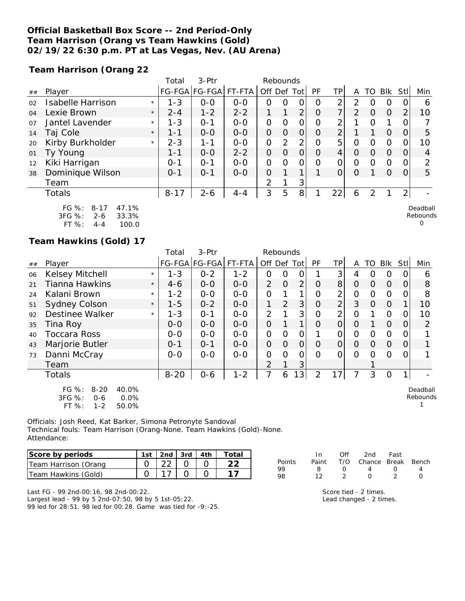### **Official Basketball Box Score -- 2nd Period-Only Team Harrison (Orang vs Team Hawkins (Gold) 02/19/22 6:30 p.m. PT at Las Vegas, Nev. (AU Arena)**

**Team Harrison (Orang 22**

|    |                                                              |         | Total    | $3-$ Ptr             |         | Rebounds       |          |                |    |                |                |    |            |                |                      |
|----|--------------------------------------------------------------|---------|----------|----------------------|---------|----------------|----------|----------------|----|----------------|----------------|----|------------|----------------|----------------------|
| ## | Player                                                       |         |          | FG-FGA FG-FGA FT-FTA |         | Off Def Tot    |          |                | PF | ΤP             | A              | TO | <b>Blk</b> | Stll           | Min                  |
| 02 | <b>Isabelle Harrison</b>                                     | $\star$ | $1 - 3$  | $0-0$                | $0-0$   | O              | O        | 0              | O  | 2              | 2              |    | 0          |                | 6                    |
| 04 | Lexie Brown                                                  | $\star$ | $2 - 4$  | $1 - 2$              | $2 - 2$ |                | 1        | 2 <sub>1</sub> | O  | $\overline{7}$ | $\overline{2}$ | O  | $\Omega$   | 2              | 10                   |
| 07 | Jantel Lavender                                              | $\star$ | $1 - 3$  | $O - 1$              | $0 - 0$ | $\mathcal{O}$  | $\Omega$ | 0              | 0  | 2              |                | Ω  | 1          |                |                      |
| 14 | Taj Cole                                                     | $\star$ | 1-1      | $0 - 0$              | $O-O$   | $\Omega$       | $\Omega$ | $\Omega$       | O  | $\overline{2}$ |                |    | $\Omega$   | 0              | 5                    |
| 20 | Kirby Burkholder                                             | $\star$ | $2 - 3$  | $1 - 1$              | $0 - 0$ | $\mathbf{O}$   | 2        | 2              | Ω  | 5              | Ο              | Ω  | 0          |                | 10                   |
| 01 | Ty Young                                                     |         | 1-1      | $0 - 0$              | $2 - 2$ | 0              | $\Omega$ | 0              | O  | 4              | O              | Ω  | $\Omega$   |                | 4                    |
| 12 | Kiki Harrigan                                                |         | $0 - 1$  | $0 - 1$              | $0 - 0$ | $\mathcal{O}$  | $\circ$  | $\mathcal{O}$  | Ω  | O              | 0              | Ω  | $\Omega$   |                | ⌒                    |
| 38 | Dominique Wilson                                             |         | $O - 1$  | $O - 1$              | $0 - 0$ | $\Omega$       |          | 1              |    | $\overline{O}$ | $\circ$        |    | $\Omega$   | Ω              | 5                    |
|    | Team                                                         |         |          |                      |         | $\overline{2}$ |          | 3 <sup>1</sup> |    |                |                |    |            |                |                      |
|    | Totals                                                       |         | $8 - 17$ | $2 - 6$              | $4 - 4$ | 3              | 5        | 8 <sup>1</sup> |    | $22 \vert$     | 6              | 2  |            | 2 <sub>1</sub> |                      |
|    | $FG \%$ :<br>47.1%<br>$8 - 17$<br>3FG %:<br>33.3%<br>$2 - 6$ |         |          |                      |         |                |          |                |    |                |                |    |            |                | Deadball<br>Rebounds |

FT %: 4-4 100.0

#### **Team Hawkins (Gold) 17**

|    |                                                                                    |         | Total         | 3-Ptr         | Rebounds |                |                |                |                |                |                |                |              |          |                      |
|----|------------------------------------------------------------------------------------|---------|---------------|---------------|----------|----------------|----------------|----------------|----------------|----------------|----------------|----------------|--------------|----------|----------------------|
| ## | Player                                                                             |         | <b>FG-FGA</b> | FG-FGA FT-FTA |          | Off Def Tot    |                |                | PF             | TP             | A              | TO             | <b>Blk</b>   | Stll     | Min                  |
| 06 | <b>Kelsey Mitchell</b>                                                             | $\star$ | $1 - 3$       | $0 - 2$       | $1 - 2$  | 0              | 0              | 0              |                | 3              | 4              | O              | 0            | O        | 6                    |
| 21 | Tianna Hawkins                                                                     | $\star$ | $4-6$         | $0 - 0$       | $0-0$    | 2              | $\overline{O}$ | $\overline{2}$ | 0              | 8              | $\overline{O}$ | $\Omega$       | $\Omega$     | $\cup$   | 8                    |
| 24 | Kalani Brown                                                                       | $\star$ | $1 - 2$       | $0-0$         | $0-0$    | $\overline{O}$ | 1              | 1              | O              | 2              | $\overline{O}$ | 0              | $\Omega$     | 0        | 8                    |
| 51 | <b>Sydney Colson</b>                                                               | $\star$ | $1 - 5$       | $0 - 2$       | $0-0$    | 1.             | $\overline{2}$ | 3              | $\overline{O}$ | $\overline{2}$ | 3              | $\overline{O}$ | $\Omega$     |          | 10                   |
| 92 | Destinee Walker                                                                    | $\star$ | $1 - 3$       | $0 - 1$       | $O-O$    | $\overline{2}$ |                | 3              | $\overline{O}$ | 2              | 0              |                | $\mathbf{O}$ | 0        | 10                   |
| 35 | Tina Roy                                                                           |         | $O-O$         | $0 - 0$       | $0 - 0$  | $\overline{O}$ |                | $\mathbf{1}$   | 0              | 0              | $\Omega$       |                | $\Omega$     | $\Omega$ | 2                    |
| 40 | <b>Toccara Ross</b>                                                                |         | $0-0$         | $O-O$         | $0-0$    | 0              | 0              | 0              |                | 0              | $\Omega$       | 0              | $\Omega$     | 0        |                      |
| 43 | Marjorie Butler                                                                    |         | $0 - 1$       | $0 - 1$       | $0-0$    | $\overline{O}$ | $\overline{O}$ | $\mathcal{O}$  | $\Omega$       | $\overline{O}$ | $\Omega$       | 0              | $\Omega$     | $\Omega$ |                      |
| 73 | Danni McCray                                                                       |         | $0 - 0$       | $0 - 0$       | $0 - 0$  | $\overline{O}$ | $\Omega$       | 0              | 0              | O              | $\Omega$       | 0              | $\Omega$     | 0        |                      |
|    | Team                                                                               |         |               |               |          | $\overline{2}$ | 1              | 3              |                |                |                |                |              |          |                      |
|    | <b>Totals</b>                                                                      |         | $8 - 20$      | $0 - 6$       | $1 - 2$  | 7              | 6              | 3              | 2              | 17             | 7              | 3              | $\Omega$     |          |                      |
|    | FG %:<br>$8 - 20$<br>40.0%<br>3FG %:<br>0.0%<br>$0 - 6$<br>FT%<br>$1 - 2$<br>50.0% |         |               |               |          |                |                |                |                |                |                |                |              |          | Deadball<br>Rebounds |

Officials: Josh Reed, Kat Barker, Simona Petronyte Sandoval Technical fouls: Team Harrison (Orang-None. Team Hawkins (Gold)-None. Attendance:

| Score by periods     |                 |  | 1st 2nd 3rd 4th Total |
|----------------------|-----------------|--|-----------------------|
| Team Harrison (Orang | 22 <sub>1</sub> |  |                       |
| Team Hawkins (Gold)  |                 |  |                       |

|        | In.   | Off              | 2nd                    | Fast             |              |
|--------|-------|------------------|------------------------|------------------|--------------|
| Points | Paint |                  | T/O Chance Break Bench |                  |              |
| QQ     | я     | $\left( \right)$ | 4                      | $\left( \right)$ |              |
| 98     | 12.   |                  | $\left( \right)$       |                  | $\mathbf{I}$ |

0

Last FG - 99 2nd-00:16, 98 2nd-00:22. Largest lead - 99 by 5 2nd-07:50, 98 by 5 1st-05:22. 99 led for 28:51. 98 led for 00:28. Game was tied for -9:-25. Score tied - 2 times. Lead changed - 2 times.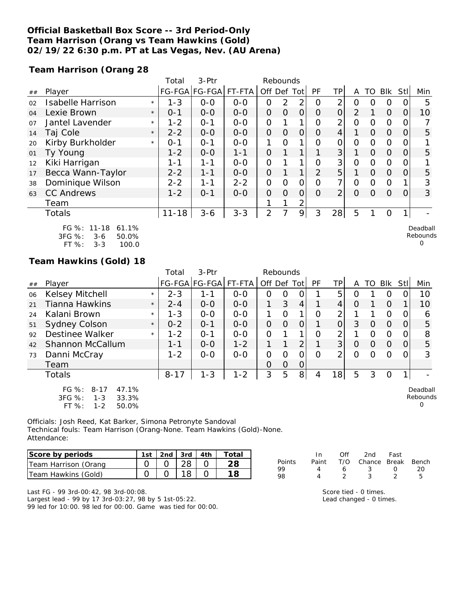### **Official Basketball Box Score -- 3rd Period-Only Team Harrison (Orang vs Team Hawkins (Gold) 02/19/22 6:30 p.m. PT at Las Vegas, Nev. (AU Arena)**

**Team Harrison (Orang 28**

|    |                                                    |         | Total     | 3-Ptr         |         | Rebounds       |                |                |                |                |                |          |            |          |                      |
|----|----------------------------------------------------|---------|-----------|---------------|---------|----------------|----------------|----------------|----------------|----------------|----------------|----------|------------|----------|----------------------|
| ## | Player                                             |         |           | FG-FGA FG-FGA | FT-FTA  | Off Def Tot    |                |                | <b>PF</b>      | TPI            | A              | TO       | <b>BIK</b> | Stll     | Min                  |
| 02 | <b>Isabelle Harrison</b>                           | $\star$ | $1 - 3$   | $0 - 0$       | $0 - 0$ | 0              | 2              | 2              | O              | 2              | 0              | O        | O          | O        | 5                    |
| 04 | Lexie Brown                                        | $\star$ | $0 - 1$   | $0 - 0$       | $0-0$   | 0              | $\Omega$       | $\overline{O}$ | $\Omega$       | $\overline{O}$ | 2              |          | $\Omega$   | $\Omega$ | 10                   |
| 07 | Jantel Lavender                                    | $\star$ | $1 - 2$   | $0 - 1$       | $O-O$   | $\overline{O}$ |                | 1              | $\Omega$       | 2 <sub>1</sub> | $\Omega$       | $\circ$  | $\Omega$   | 0        |                      |
| 14 | Taj Cole                                           | $\star$ | $2 - 2$   | $O-O$         | $0-0$   | $\overline{O}$ | $\overline{O}$ | $\overline{O}$ | $\Omega$       | $\overline{4}$ |                | $\Omega$ | $\Omega$   | 0        | 5                    |
| 20 | Kirby Burkholder                                   | $\star$ | $O - 1$   | $O - 1$       | $0-0$   | 1              | $\Omega$       |                | $\Omega$       | $\Omega$       | $\Omega$       | $\Omega$ | $\circ$    | 0        |                      |
| 01 | Ty Young                                           |         | $1 - 2$   | $0-0$         | $1 - 1$ | $\mathcal{O}$  |                |                |                | 3 <sup>1</sup> |                | $\Omega$ | $\Omega$   | $\Omega$ | 5                    |
| 12 | Kiki Harrigan                                      |         | 1-1       | 1-1           | $0-0$   | $\overline{O}$ |                |                | O              | 3              | $\overline{O}$ | 0        | $\circ$    | 0        |                      |
| 17 | Becca Wann-Taylor                                  |         | $2 - 2$   | $1 - 1$       | $0 - 0$ | $\overline{O}$ |                |                | $\overline{2}$ | 5 <sup>1</sup> | 1              | $\Omega$ | $\Omega$   | 0        | 5                    |
| 38 | Dominique Wilson                                   |         | $2 - 2$   | $1 - 1$       | $2 - 2$ | O              | $\Omega$       | $\Omega$       | $\Omega$       | 7 <sup>1</sup> | $\Omega$       | $\Omega$ | $\Omega$   |          | 3                    |
| 63 | <b>CC Andrews</b>                                  |         | $1 - 2$   | $0 - 1$       | $0 - 0$ | $\overline{O}$ | $\Omega$       | $\overline{O}$ | $\Omega$       | $\overline{2}$ | $\Omega$       | $\Omega$ | $\Omega$   | 0        | 3                    |
|    | Team                                               |         |           |               |         |                |                | 2              |                |                |                |          |            |          |                      |
|    | Totals                                             |         | $11 - 18$ | $3 - 6$       | $3 - 3$ | 2              |                | 9              | 3              | 28             | 5              |          | $\Omega$   | 1        |                      |
|    | 61.1%<br>FG %: 11-18<br>$3FG \%$<br>50.0%<br>$3-6$ |         |           |               |         |                |                |                |                |                |                |          |            |          | Deadball<br>Rebounds |

3FG %: 3-6 50.0% FT %: 3-3 100.0

Rebounds 0

#### **Team Hawkins (Gold) 18**

|    |                                                                                       |         | Total    | 3-Ptr                |         |             | Rebounds       |                |           |                |          |          |          |          |                           |
|----|---------------------------------------------------------------------------------------|---------|----------|----------------------|---------|-------------|----------------|----------------|-----------|----------------|----------|----------|----------|----------|---------------------------|
| ## | Player                                                                                |         |          | FG-FGA FG-FGA FT-FTA |         | Off Def Tot |                |                | <b>PF</b> | ΤP             | A        | TO.      | Blk      | Stll     | Min                       |
| 06 | Kelsey Mitchell                                                                       | $\star$ | $2 - 3$  | 1-1                  | $0 - 0$ | 0           | 0              | 0              |           | 5              | Ω        |          | O        |          | 10                        |
| 21 | <b>Tianna Hawkins</b>                                                                 | $\star$ | $2 - 4$  | $0 - 0$              | $0 - 0$ | 1           | 3              | $\overline{4}$ |           | 4              | $\Omega$ |          | $\Omega$ |          | 10                        |
| 24 | Kalani Brown                                                                          | $\star$ | $1 - 3$  | $0 - 0$              | $0 - 0$ | 1           | $\Omega$       | 1              | O         | 2              |          |          | $\circ$  | 0        | 6                         |
| 51 | <b>Sydney Colson</b>                                                                  | $\star$ | $0 - 2$  | $O - 1$              | $0 - 0$ | 0           | $\Omega$       | $\mathbf 0$    |           | 0              | 3        | $\Omega$ | $\Omega$ | $\Omega$ | 5                         |
| 92 | Destinee Walker                                                                       | $\star$ | $1 - 2$  | $O - 1$              | $O - O$ | 0           |                | 1              | 0         | 2              |          | 0        | $\circ$  | O        | 8                         |
| 42 | Shannon McCallum                                                                      |         | $1 - 1$  | $O-O$                | $1 - 2$ |             |                | 2              |           | 3              | $\Omega$ | $\Omega$ | $\Omega$ | 0        | 5                         |
| 73 | Danni McCray                                                                          |         | $1 - 2$  | $0 - 0$              | $O - O$ | 0           | O              | 0              | $\Omega$  | $\overline{2}$ | $\Omega$ | $\Omega$ | $\Omega$ | 0        | 3                         |
|    | Team                                                                                  |         |          |                      |         | O           | $\overline{O}$ | 0              |           |                |          |          |          |          |                           |
|    | Totals                                                                                |         | $8 - 17$ | $1 - 3$              | $1 - 2$ | 3           | 5              | 8              | 4         | 18             | 5        | 3        | O        |          |                           |
|    | FG %:<br>$8 - 17$<br>47.1%<br>3FG %:<br>33.3%<br>$1 - 3$<br>FT %:<br>$1 - 2$<br>50.0% |         |          |                      |         |             |                |                |           |                |          |          |          |          | Deadball<br>Rebounds<br>O |

Officials: Josh Reed, Kat Barker, Simona Petronyte Sandoval Technical fouls: Team Harrison (Orang-None. Team Hawkins (Gold)-None. Attendance:

| Score by periods     | 1st | $\vert$ 2nd $\vert$ 3rd $\vert$ 4th $\vert$ |  | Total |
|----------------------|-----|---------------------------------------------|--|-------|
| Team Harrison (Orang |     |                                             |  |       |
| Team Hawkins (Gold)  |     |                                             |  |       |

|               | $\ln$ | Off | 2nd                          | Fast             |    |
|---------------|-------|-----|------------------------------|------------------|----|
| <b>Points</b> |       |     | Paint T/O Chance Break Bench |                  |    |
| 99            |       | 6.  | -3-                          | $\left( \right)$ | 20 |
| 98            |       |     | $\mathcal{L}$                |                  | ь  |
|               |       |     |                              |                  |    |

Last FG - 99 3rd-00:42, 98 3rd-00:08. Largest lead - 99 by 17 3rd-03:27, 98 by 5 1st-05:22. 99 led for 10:00. 98 led for 00:00. Game was tied for 00:00. Score tied - 0 times. Lead changed - 0 times.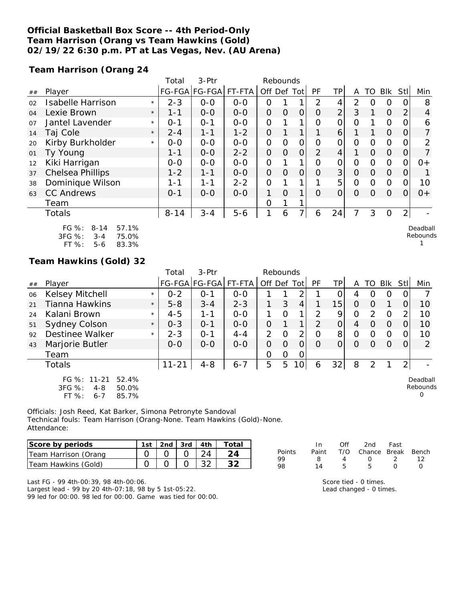### **Official Basketball Box Score -- 4th Period-Only Team Harrison (Orang vs Team Hawkins (Gold) 02/19/22 6:30 p.m. PT at Las Vegas, Nev. (AU Arena)**

**Team Harrison (Orang 24**

|    |                                                                                       |         | Total    | 3-Ptr         |         | Rebounds       |                |                |          |                 |                |                |            |                |                      |
|----|---------------------------------------------------------------------------------------|---------|----------|---------------|---------|----------------|----------------|----------------|----------|-----------------|----------------|----------------|------------|----------------|----------------------|
| ## | Player                                                                                |         |          | FG-FGA FG-FGA | FT-FTA  | Off Def Tot    |                |                | PF       | TP              | A              | TO             | <b>Blk</b> | StII           | Min                  |
| 02 | <b>Isabelle Harrison</b>                                                              | $\star$ | $2 - 3$  | $0-0$         | $0-0$   | $\overline{O}$ |                | 1              | 2        | 4               | $\overline{2}$ | 0              | 0          |                | 8                    |
| 04 | Lexie Brown                                                                           | $\star$ | $1 - 1$  | $0-0$         | $O-O$   | $\overline{O}$ | $\Omega$       | $\overline{O}$ | $\Omega$ | $\overline{2}$  | 3              | 1              | $\Omega$   | 2              | 4                    |
| 07 | Jantel Lavender                                                                       | $\star$ | $0 - 1$  | $O - 1$       | $0-0$   | O              |                |                | O        | O               | 0              |                | 0          |                | 6                    |
| 14 | Taj Cole                                                                              | $\star$ | $2 - 4$  | $1 - 1$       | $1 - 2$ | $\overline{O}$ |                | 1              |          | $\vert 6 \vert$ |                | 1.             | $\Omega$   | 0              |                      |
| 20 | Kirby Burkholder                                                                      | $\star$ | $O-O$    | $0-0$         | $0-0$   | O              | 0              | 0              | 0        | 0               | 0              | 0              | $\Omega$   | O              | 2                    |
| 01 | Ty Young                                                                              |         | $1 - 1$  | $O-O$         | $2 - 2$ | $\overline{O}$ | $\overline{O}$ | $\overline{O}$ | 2        | $\overline{4}$  | 1              | $\overline{O}$ | $\Omega$   | 0              |                      |
| 12 | Kiki Harrigan                                                                         |         | $0-0$    | $O-O$         | $O-O$   | $\overline{O}$ |                | 1              | O        | O               | $\overline{O}$ | $\mathcal{O}$  | $\Omega$   | 0              | $0+$                 |
| 37 | <b>Chelsea Phillips</b>                                                               |         | $1 - 2$  | $1 - 1$       | $O-O$   | $\overline{O}$ | $\Omega$       | $\overline{O}$ | $\Omega$ | 3 <sup>1</sup>  | $\overline{O}$ | $\Omega$       | $\Omega$   | 0              |                      |
| 38 | Dominique Wilson                                                                      |         | 1-1      | $1 - 1$       | $2 - 2$ | $\overline{O}$ |                |                |          | 5               | $\Omega$       | 0              | $\Omega$   | Ω              | 10                   |
| 63 | <b>CC Andrews</b>                                                                     |         | $0 - 1$  | $0 - 0$       | $0-0$   | 1              | $\Omega$       | 1              | $\Omega$ | $\overline{O}$  | $\Omega$       | $\Omega$       | $\Omega$   | $\Omega$       | $0+$                 |
|    | Team                                                                                  |         |          |               |         | O              |                |                |          |                 |                |                |            |                |                      |
|    | Totals                                                                                |         | $8 - 14$ | $3 - 4$       | $5 - 6$ | 1              | 6              | 7              | 6        | 24              | 7              | 3              | $\Omega$   | $\overline{2}$ |                      |
|    | 57.1%<br>FG %:<br>$8 - 14$<br>3FG %:<br>75.0%<br>$3 - 4$<br>FT %:<br>83.3%<br>$5 - 6$ |         |          |               |         |                |                |                |          |                 |                |                |            |                | Deadball<br>Rebounds |

## **Team Hawkins (Gold) 32**

|    |                                                                               |         | Total     | $3-$ Ptr             |         | Rebounds       |          |                 |                |                |                |    |          |                |                           |
|----|-------------------------------------------------------------------------------|---------|-----------|----------------------|---------|----------------|----------|-----------------|----------------|----------------|----------------|----|----------|----------------|---------------------------|
| ## | Player                                                                        |         |           | FG-FGA FG-FGA FT-FTA |         | Off Def Tot    |          |                 | PF             | TPI            | A              | TO | Blk      | StII           | Min                       |
| 06 | Kelsey Mitchell                                                               | $\star$ | $0 - 2$   | $O - 1$              | $0 - 0$ |                |          | 2               |                |                | 4              | O  | O        | O              |                           |
| 21 | <b>Tianna Hawkins</b>                                                         | $\star$ | $5 - 8$   | $3 - 4$              | $2 - 3$ |                | 3        | $\overline{4}$  |                | 15             | $\Omega$       | O  |          | 0              | 10                        |
| 24 | Kalani Brown                                                                  | $\star$ | $4 - 5$   | 1-1                  | $0-0$   |                | $\Omega$ | 1               | $\overline{2}$ | 9              | $\Omega$       | 2  | $\circ$  | $\overline{2}$ | 10                        |
| 51 | <b>Sydney Colson</b>                                                          | $\star$ | $0 - 3$   | $O - 1$              | $0 - 0$ | $\overline{O}$ |          | 1               | $\mathcal{P}$  | $\overline{O}$ | $\overline{4}$ | 0  | $\Omega$ | 0              | 10                        |
| 92 | Destinee Walker                                                               | $\star$ | $2 - 3$   | $O - 1$              | $4 - 4$ | $\overline{2}$ | 0        | 2               | O              | 8              | $\overline{O}$ | O  | $\Omega$ | O.             | 10                        |
| 43 | Marjorie Butler                                                               |         | $0 - 0$   | $0 - 0$              | $O - O$ | $\overline{O}$ | $\Omega$ | $\Omega$        | $\Omega$       | 0              | $\Omega$       | Ω  | $\Omega$ | 0              | 2                         |
|    | Team                                                                          |         |           |                      |         | O              | 0        | 0               |                |                |                |    |          |                |                           |
|    | Totals                                                                        |         | $11 - 21$ | $4 - 8$              | $6 - 7$ | 5              | 5        | 10 <sup>1</sup> | 6              | 32             | 8              | 2  |          | $\overline{2}$ |                           |
|    | FG %: 11-21<br>52.4%<br>3FG %:<br>$4 - 8$<br>50.0%<br>FT%<br>$6 - 7$<br>85.7% |         |           |                      |         |                |          |                 |                |                |                |    |          |                | Deadball<br>Rebounds<br>O |

Officials: Josh Reed, Kat Barker, Simona Petronyte Sandoval Technical fouls: Team Harrison (Orang-None. Team Hawkins (Gold)-None. Attendance:

| Score by periods     | 1st - |  | $\vert$ 2nd $\vert$ 3rd $\vert$ 4th $\vert$ | Total |
|----------------------|-------|--|---------------------------------------------|-------|
| Team Harrison (Orang |       |  |                                             |       |
| Team Hawkins (Gold)  |       |  |                                             |       |

Last FG - 99 4th-00:39, 98 4th-00:06. Largest lead - 99 by 20 4th-07:18, 98 by 5 1st-05:22. 99 led for 00:00. 98 led for 00:00. Game was tied for 00:00.

|        | In.   | ∩ff | 2nd                    | Fast             |                  |
|--------|-------|-----|------------------------|------------------|------------------|
| Points | Paint |     | T/O Chance Break Bench |                  |                  |
| QQ     | Χ     |     | $\left( \right)$       | - 2              | 12               |
| 98     | 14    | 5   | 5                      | $\left( \right)$ | $\left( \right)$ |
|        |       |     |                        |                  |                  |

Score tied - 0 times.

Lead changed - 0 times.